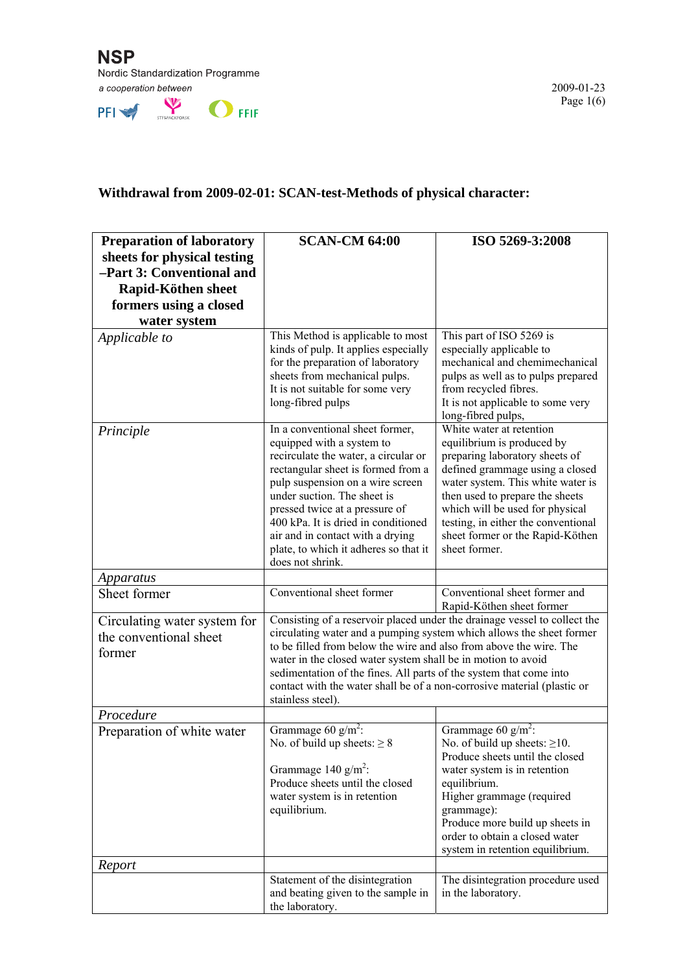

PFI STRANGEROUSE OFFIF

## **Withdrawal from 2009-02-01: SCAN-test-Methods of physical character:**

| <b>Preparation of laboratory</b>                                 | <b>SCAN-CM 64:00</b>                                                                                                                                                                                                                                                                                                                                                                                                                                          | ISO 5269-3:2008                                                                                                                                                                      |
|------------------------------------------------------------------|---------------------------------------------------------------------------------------------------------------------------------------------------------------------------------------------------------------------------------------------------------------------------------------------------------------------------------------------------------------------------------------------------------------------------------------------------------------|--------------------------------------------------------------------------------------------------------------------------------------------------------------------------------------|
| sheets for physical testing                                      |                                                                                                                                                                                                                                                                                                                                                                                                                                                               |                                                                                                                                                                                      |
| -Part 3: Conventional and                                        |                                                                                                                                                                                                                                                                                                                                                                                                                                                               |                                                                                                                                                                                      |
| Rapid-Köthen sheet<br>formers using a closed                     |                                                                                                                                                                                                                                                                                                                                                                                                                                                               |                                                                                                                                                                                      |
| water system                                                     |                                                                                                                                                                                                                                                                                                                                                                                                                                                               |                                                                                                                                                                                      |
| Applicable to                                                    | This Method is applicable to most                                                                                                                                                                                                                                                                                                                                                                                                                             | This part of ISO 5269 is                                                                                                                                                             |
|                                                                  | kinds of pulp. It applies especially<br>for the preparation of laboratory<br>sheets from mechanical pulps.<br>It is not suitable for some very<br>long-fibred pulps                                                                                                                                                                                                                                                                                           | especially applicable to<br>mechanical and chemimechanical<br>pulps as well as to pulps prepared<br>from recycled fibres.<br>It is not applicable to some very<br>long-fibred pulps, |
| Principle                                                        | In a conventional sheet former,<br>equipped with a system to<br>recirculate the water, a circular or                                                                                                                                                                                                                                                                                                                                                          | White water at retention<br>equilibrium is produced by<br>preparing laboratory sheets of                                                                                             |
|                                                                  | rectangular sheet is formed from a<br>pulp suspension on a wire screen<br>under suction. The sheet is<br>pressed twice at a pressure of<br>400 kPa. It is dried in conditioned                                                                                                                                                                                                                                                                                | defined grammage using a closed<br>water system. This white water is<br>then used to prepare the sheets<br>which will be used for physical<br>testing, in either the conventional    |
|                                                                  | air and in contact with a drying<br>plate, to which it adheres so that it<br>does not shrink.                                                                                                                                                                                                                                                                                                                                                                 | sheet former or the Rapid-Köthen<br>sheet former.                                                                                                                                    |
| Apparatus                                                        |                                                                                                                                                                                                                                                                                                                                                                                                                                                               |                                                                                                                                                                                      |
| Sheet former                                                     | Conventional sheet former                                                                                                                                                                                                                                                                                                                                                                                                                                     | Conventional sheet former and<br>Rapid-Köthen sheet former                                                                                                                           |
| Circulating water system for<br>the conventional sheet<br>former | Consisting of a reservoir placed under the drainage vessel to collect the<br>circulating water and a pumping system which allows the sheet former<br>to be filled from below the wire and also from above the wire. The<br>water in the closed water system shall be in motion to avoid<br>sedimentation of the fines. All parts of the system that come into<br>contact with the water shall be of a non-corrosive material (plastic or<br>stainless steel). |                                                                                                                                                                                      |
| Procedure                                                        |                                                                                                                                                                                                                                                                                                                                                                                                                                                               |                                                                                                                                                                                      |
| Preparation of white water                                       | Grammage 60 g/m <sup>2</sup> :<br>No. of build up sheets: $\geq 8$<br>Grammage 140 $g/m^2$ :                                                                                                                                                                                                                                                                                                                                                                  | Grammage 60 $g/m^2$ :<br>No. of build up sheets: $\geq$ 10.<br>Produce sheets until the closed<br>water system is in retention                                                       |
|                                                                  | Produce sheets until the closed<br>water system is in retention<br>equilibrium.                                                                                                                                                                                                                                                                                                                                                                               | equilibrium.<br>Higher grammage (required<br>grammage):<br>Produce more build up sheets in<br>order to obtain a closed water<br>system in retention equilibrium.                     |
| Report                                                           |                                                                                                                                                                                                                                                                                                                                                                                                                                                               |                                                                                                                                                                                      |
|                                                                  | Statement of the disintegration<br>and beating given to the sample in<br>the laboratory.                                                                                                                                                                                                                                                                                                                                                                      | The disintegration procedure used<br>in the laboratory.                                                                                                                              |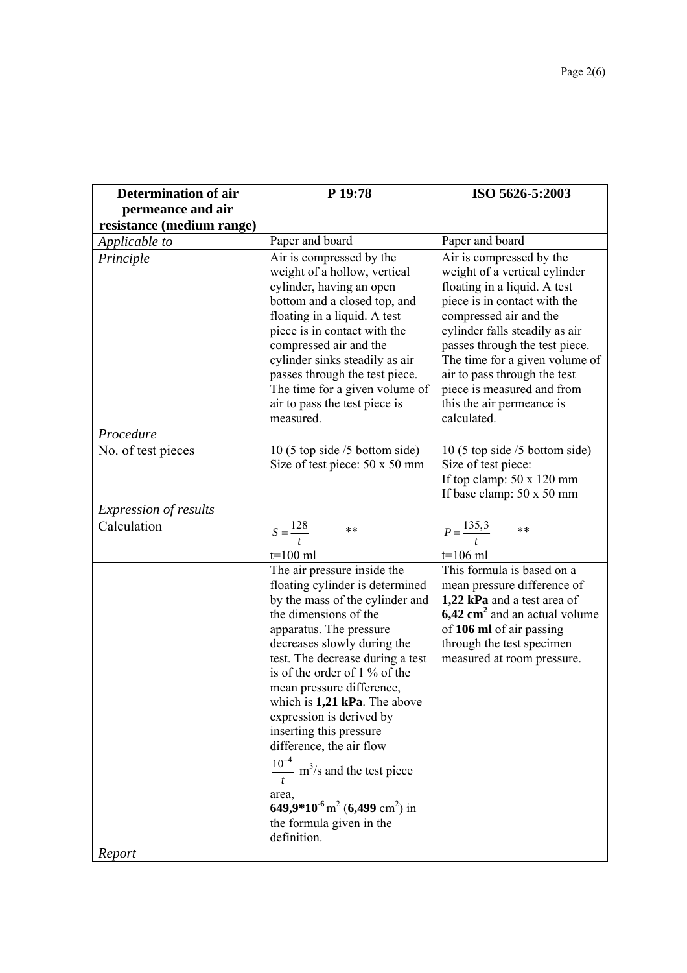| <b>Determination of air</b>  | P 19:78                                                                                                                                                                                                                                                                                                                                                                                                                                                            | ISO 5626-5:2003                                                                                                                                                                                                                                                                                                                                                     |
|------------------------------|--------------------------------------------------------------------------------------------------------------------------------------------------------------------------------------------------------------------------------------------------------------------------------------------------------------------------------------------------------------------------------------------------------------------------------------------------------------------|---------------------------------------------------------------------------------------------------------------------------------------------------------------------------------------------------------------------------------------------------------------------------------------------------------------------------------------------------------------------|
| permeance and air            |                                                                                                                                                                                                                                                                                                                                                                                                                                                                    |                                                                                                                                                                                                                                                                                                                                                                     |
| resistance (medium range)    |                                                                                                                                                                                                                                                                                                                                                                                                                                                                    |                                                                                                                                                                                                                                                                                                                                                                     |
| Applicable to                | Paper and board                                                                                                                                                                                                                                                                                                                                                                                                                                                    | Paper and board                                                                                                                                                                                                                                                                                                                                                     |
| Principle                    | Air is compressed by the<br>weight of a hollow, vertical<br>cylinder, having an open<br>bottom and a closed top, and<br>floating in a liquid. A test<br>piece is in contact with the<br>compressed air and the<br>cylinder sinks steadily as air<br>passes through the test piece.<br>The time for a given volume of<br>air to pass the test piece is<br>measured.                                                                                                 | Air is compressed by the<br>weight of a vertical cylinder<br>floating in a liquid. A test<br>piece is in contact with the<br>compressed air and the<br>cylinder falls steadily as air<br>passes through the test piece.<br>The time for a given volume of<br>air to pass through the test<br>piece is measured and from<br>this the air permeance is<br>calculated. |
| Procedure                    |                                                                                                                                                                                                                                                                                                                                                                                                                                                                    |                                                                                                                                                                                                                                                                                                                                                                     |
| No. of test pieces           | 10 (5 top side /5 bottom side)<br>Size of test piece: 50 x 50 mm                                                                                                                                                                                                                                                                                                                                                                                                   | 10 (5 top side $/5$ bottom side)<br>Size of test piece:<br>If top clamp: $50 \times 120$ mm<br>If base clamp: 50 x 50 mm                                                                                                                                                                                                                                            |
| <b>Expression of results</b> |                                                                                                                                                                                                                                                                                                                                                                                                                                                                    |                                                                                                                                                                                                                                                                                                                                                                     |
| Calculation                  | $S = \frac{128}{t}$<br>**<br>$t=100$ ml<br>The air pressure inside the<br>floating cylinder is determined<br>by the mass of the cylinder and<br>the dimensions of the                                                                                                                                                                                                                                                                                              | $P = \frac{135.3}{t}$<br>$***$<br>$t=106$ ml<br>This formula is based on a<br>mean pressure difference of<br>1,22 kPa and a test area of<br>$6,42 \text{ cm}^2$ and an actual volume                                                                                                                                                                                |
|                              | apparatus. The pressure<br>decreases slowly during the<br>test. The decrease during a test<br>is of the order of 1 % of the<br>mean pressure difference,<br>which is $1,21$ kPa. The above<br>expression is derived by<br>inserting this pressure<br>difference, the air flow<br>$\frac{10^{-4}}{2}$ m <sup>3</sup> /s and the test piece<br>area,<br>649,9*10 <sup>-6</sup> m <sup>2</sup> (6,499 cm <sup>2</sup> ) in<br>the formula given in the<br>definition. | of 106 ml of air passing<br>through the test specimen<br>measured at room pressure.                                                                                                                                                                                                                                                                                 |
| Report                       |                                                                                                                                                                                                                                                                                                                                                                                                                                                                    |                                                                                                                                                                                                                                                                                                                                                                     |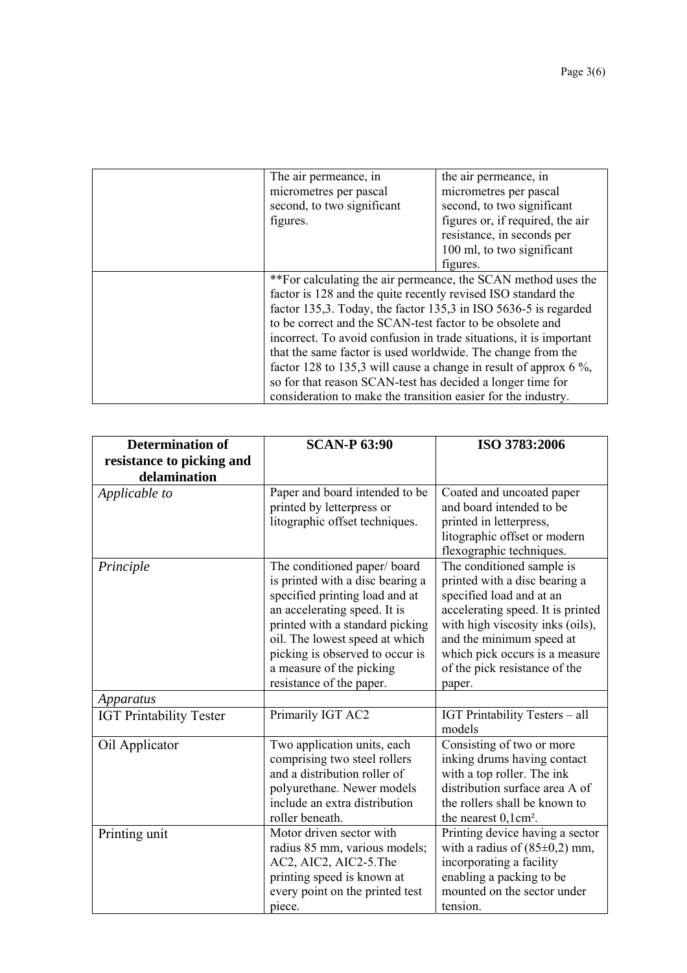| The air permeance, in                                                | the air permeance, in            |
|----------------------------------------------------------------------|----------------------------------|
| micrometres per pascal                                               | micrometres per pascal           |
| second, to two significant                                           | second, to two significant       |
| figures.                                                             | figures or, if required, the air |
|                                                                      | resistance, in seconds per       |
|                                                                      | 100 ml, to two significant       |
|                                                                      | figures.                         |
| **For calculating the air permeance, the SCAN method uses the        |                                  |
| factor is 128 and the quite recently revised ISO standard the        |                                  |
| factor 135,3. Today, the factor 135,3 in ISO 5636-5 is regarded      |                                  |
| to be correct and the SCAN-test factor to be obsolete and            |                                  |
| incorrect. To avoid confusion in trade situations, it is important   |                                  |
| that the same factor is used worldwide. The change from the          |                                  |
| factor 128 to 135,3 will cause a change in result of approx 6 $\%$ , |                                  |
| so for that reason SCAN-test has decided a longer time for           |                                  |
| consideration to make the transition easier for the industry.        |                                  |

| <b>Determination of</b><br>resistance to picking and<br>delamination | <b>SCAN-P 63:90</b>                                                                                                                                                                                                                                                                               | ISO 3783:2006                                                                                                                                                                                                                                                            |
|----------------------------------------------------------------------|---------------------------------------------------------------------------------------------------------------------------------------------------------------------------------------------------------------------------------------------------------------------------------------------------|--------------------------------------------------------------------------------------------------------------------------------------------------------------------------------------------------------------------------------------------------------------------------|
| Applicable to                                                        | Paper and board intended to be<br>printed by letterpress or<br>litographic offset techniques.                                                                                                                                                                                                     | Coated and uncoated paper<br>and board intended to be<br>printed in letterpress,<br>litographic offset or modern<br>flexographic techniques.                                                                                                                             |
| Principle                                                            | The conditioned paper/board<br>is printed with a disc bearing a<br>specified printing load and at<br>an accelerating speed. It is<br>printed with a standard picking<br>oil. The lowest speed at which<br>picking is observed to occur is<br>a measure of the picking<br>resistance of the paper. | The conditioned sample is<br>printed with a disc bearing a<br>specified load and at an<br>accelerating speed. It is printed<br>with high viscosity inks (oils),<br>and the minimum speed at<br>which pick occurs is a measure<br>of the pick resistance of the<br>paper. |
| Apparatus                                                            |                                                                                                                                                                                                                                                                                                   |                                                                                                                                                                                                                                                                          |
| <b>IGT Printability Tester</b>                                       | Primarily IGT AC2                                                                                                                                                                                                                                                                                 | IGT Printability Testers - all<br>models                                                                                                                                                                                                                                 |
| Oil Applicator                                                       | Two application units, each<br>comprising two steel rollers<br>and a distribution roller of<br>polyurethane. Newer models<br>include an extra distribution<br>roller beneath.                                                                                                                     | Consisting of two or more<br>inking drums having contact<br>with a top roller. The ink<br>distribution surface area A of<br>the rollers shall be known to<br>the nearest $0,1 \text{cm}^2$ .                                                                             |
| Printing unit                                                        | Motor driven sector with<br>radius 85 mm, various models;<br>AC2, AIC2, AIC2-5. The<br>printing speed is known at<br>every point on the printed test<br>piece.                                                                                                                                    | Printing device having a sector<br>with a radius of $(85\pm0.2)$ mm,<br>incorporating a facility<br>enabling a packing to be<br>mounted on the sector under<br>tension.                                                                                                  |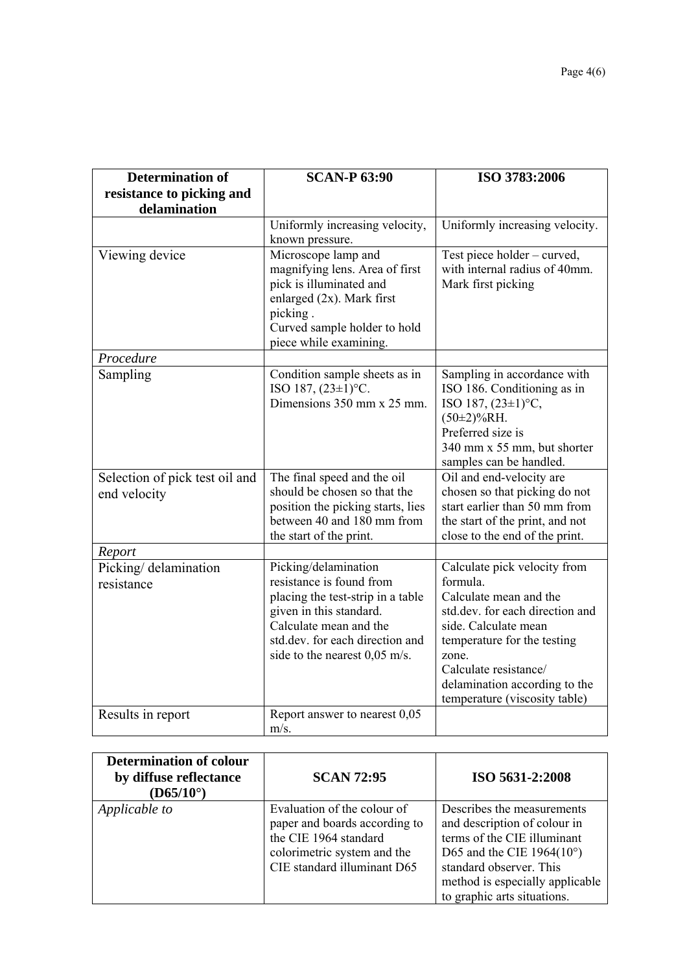| <b>Determination of</b><br>resistance to picking and<br>delamination | <b>SCAN-P 63:90</b>                                                                                                                                                                                              | ISO 3783:2006                                                                                                                                                                                                                                                    |
|----------------------------------------------------------------------|------------------------------------------------------------------------------------------------------------------------------------------------------------------------------------------------------------------|------------------------------------------------------------------------------------------------------------------------------------------------------------------------------------------------------------------------------------------------------------------|
|                                                                      | Uniformly increasing velocity,<br>known pressure.                                                                                                                                                                | Uniformly increasing velocity.                                                                                                                                                                                                                                   |
| Viewing device                                                       | Microscope lamp and<br>magnifying lens. Area of first<br>pick is illuminated and<br>enlarged $(2x)$ . Mark first<br>picking.<br>Curved sample holder to hold<br>piece while examining.                           | Test piece holder – curved,<br>with internal radius of 40mm.<br>Mark first picking                                                                                                                                                                               |
| Procedure                                                            |                                                                                                                                                                                                                  |                                                                                                                                                                                                                                                                  |
| Sampling                                                             | Condition sample sheets as in<br>ISO 187, $(23\pm1)$ °C.<br>Dimensions 350 mm x 25 mm.                                                                                                                           | Sampling in accordance with<br>ISO 186. Conditioning as in<br>ISO 187, $(23\pm1)$ °C,<br>$(50\pm2)\%$ RH.<br>Preferred size is<br>340 mm x 55 mm, but shorter<br>samples can be handled.                                                                         |
| Selection of pick test oil and<br>end velocity                       | The final speed and the oil<br>should be chosen so that the<br>position the picking starts, lies<br>between 40 and 180 mm from<br>the start of the print.                                                        | Oil and end-velocity are<br>chosen so that picking do not<br>start earlier than 50 mm from<br>the start of the print, and not<br>close to the end of the print.                                                                                                  |
| Report                                                               |                                                                                                                                                                                                                  |                                                                                                                                                                                                                                                                  |
| Picking/ delamination<br>resistance                                  | Picking/delamination<br>resistance is found from<br>placing the test-strip in a table<br>given in this standard.<br>Calculate mean and the<br>std.dev. for each direction and<br>side to the nearest $0.05$ m/s. | Calculate pick velocity from<br>formula.<br>Calculate mean and the<br>std.dev. for each direction and<br>side. Calculate mean<br>temperature for the testing<br>zone.<br>Calculate resistance/<br>delamination according to the<br>temperature (viscosity table) |
| Results in report                                                    | Report answer to nearest 0,05<br>$m/s$ .                                                                                                                                                                         |                                                                                                                                                                                                                                                                  |

| <b>Determination of colour</b><br>by diffuse reflectance<br>$(D65/10^{\circ})$ | <b>SCAN 72:95</b>                                                                                                                                   | ISO 5631-2:2008                                                                                                                                                                                                               |
|--------------------------------------------------------------------------------|-----------------------------------------------------------------------------------------------------------------------------------------------------|-------------------------------------------------------------------------------------------------------------------------------------------------------------------------------------------------------------------------------|
| Applicable to                                                                  | Evaluation of the colour of<br>paper and boards according to<br>the CIE 1964 standard<br>colorimetric system and the<br>CIE standard illuminant D65 | Describes the measurements<br>and description of colour in<br>terms of the CIE illuminant<br>D65 and the CIE 1964 $(10^{\circ})$<br>standard observer. This<br>method is especially applicable<br>to graphic arts situations. |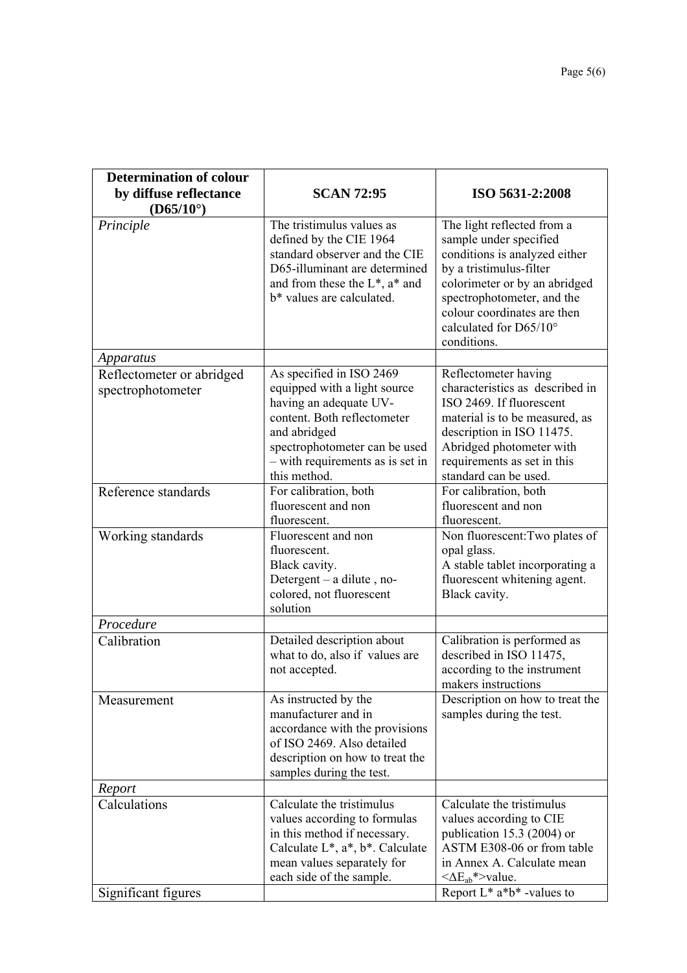| Determination of colour                        |                                                                                                                                                                                                                        |                                                                                                                                                                                                                                                         |
|------------------------------------------------|------------------------------------------------------------------------------------------------------------------------------------------------------------------------------------------------------------------------|---------------------------------------------------------------------------------------------------------------------------------------------------------------------------------------------------------------------------------------------------------|
| by diffuse reflectance                         | <b>SCAN 72:95</b>                                                                                                                                                                                                      | ISO 5631-2:2008                                                                                                                                                                                                                                         |
| $(D65/10^{\circ})$                             |                                                                                                                                                                                                                        |                                                                                                                                                                                                                                                         |
| Principle                                      | The tristimulus values as<br>defined by the CIE 1964<br>standard observer and the CIE<br>D65-illuminant are determined<br>and from these the $L^*$ , $a^*$ and<br>b* values are calculated.                            | The light reflected from a<br>sample under specified<br>conditions is analyzed either<br>by a tristimulus-filter<br>colorimeter or by an abridged<br>spectrophotometer, and the<br>colour coordinates are then<br>calculated for D65/10°<br>conditions. |
| Apparatus                                      |                                                                                                                                                                                                                        |                                                                                                                                                                                                                                                         |
| Reflectometer or abridged<br>spectrophotometer | As specified in ISO 2469<br>equipped with a light source<br>having an adequate UV-<br>content. Both reflectometer<br>and abridged<br>spectrophotometer can be used<br>- with requirements as is set in<br>this method. | Reflectometer having<br>characteristics as described in<br>ISO 2469. If fluorescent<br>material is to be measured, as<br>description in ISO 11475.<br>Abridged photometer with<br>requirements as set in this<br>standard can be used.                  |
| Reference standards                            | For calibration, both                                                                                                                                                                                                  | For calibration, both                                                                                                                                                                                                                                   |
|                                                | fluorescent and non<br>fluorescent.                                                                                                                                                                                    | fluorescent and non<br>fluorescent.                                                                                                                                                                                                                     |
| Working standards                              | Fluorescent and non<br>fluorescent.<br>Black cavity.<br>Detergent – a dilute, no-<br>colored, not fluorescent<br>solution                                                                                              | Non fluorescent: Two plates of<br>opal glass.<br>A stable tablet incorporating a<br>fluorescent whitening agent.<br>Black cavity.                                                                                                                       |
| Procedure                                      |                                                                                                                                                                                                                        |                                                                                                                                                                                                                                                         |
| Calibration                                    | Detailed description about<br>what to do, also if values are<br>not accepted.                                                                                                                                          | Calibration is performed as<br>described in ISO 11475,<br>according to the instrument<br>makers instructions                                                                                                                                            |
| Measurement                                    | As instructed by the<br>manufacturer and in<br>accordance with the provisions<br>of ISO 2469. Also detailed<br>description on how to treat the<br>samples during the test.                                             | Description on how to treat the<br>samples during the test.                                                                                                                                                                                             |
| Report                                         |                                                                                                                                                                                                                        |                                                                                                                                                                                                                                                         |
| Calculations                                   | Calculate the tristimulus<br>values according to formulas<br>in this method if necessary.<br>Calculate $L^*$ , $a^*$ , $b^*$ . Calculate<br>mean values separately for<br>each side of the sample.                     | Calculate the tristimulus<br>values according to CIE<br>publication 15.3 (2004) or<br>ASTM E308-06 or from table<br>in Annex A. Calculate mean<br>$\langle \Delta E_{ab}^* \rangle$ value.                                                              |
| Significant figures                            |                                                                                                                                                                                                                        | Report $L^*$ a <sup>*</sup> b <sup>*</sup> -values to                                                                                                                                                                                                   |